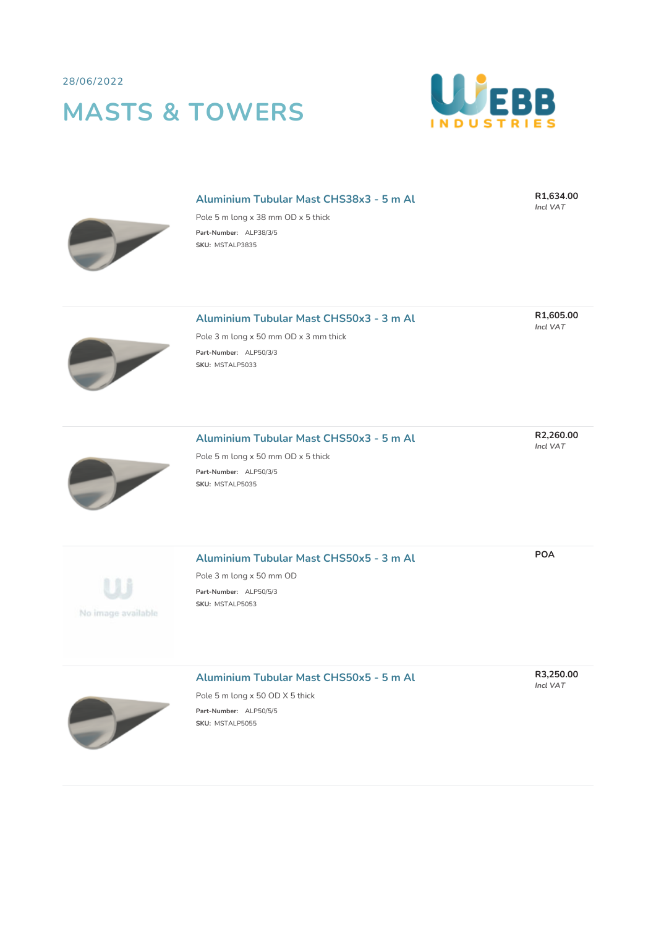28/06/2022

## **MASTS & TOWERS**



#### **Aluminium Tubular Mast CHS38x3 - 5 m Al**

**R1,634.00** *Incl VAT*

**R1,605.00** *Incl VAT*

Pole 5 m long x 38 mm OD x 5 thick **Part-Number:** ALP38/3/5 **SKU:** MSTALP3835

| Aluminium Tubular Mast CHS50x3 - 3 m Al |  |  |  |  |  |
|-----------------------------------------|--|--|--|--|--|
|-----------------------------------------|--|--|--|--|--|

Pole 3 m long x 50 mm OD x 3 mm thick **Part-Number:** ALP50/3/3 **SKU:** MSTALP5033



### **Aluminium Tubular Mast CHS50x3 - 5 m Al**

Pole 5 m long x 50 mm OD x 5 thick **Part-Number:** ALP50/3/5 **SKU:** MSTALP5035

# No image available

#### **Aluminium Tubular Mast CHS50x5 - 3 m Al**

Pole 3 m long x 50 mm OD **Part-Number:** ALP50/5/3 **SKU:** MSTALP5053

#### **Aluminium Tubular Mast CHS50x5 - 5 m Al**



Pole 5 m long x 50 OD X 5 thick **Part-Number:** ALP50/5/5 **SKU:** MSTALP5055

**R2,260.00** *Incl VAT*

**POA**

**R3,250.00** *Incl VAT*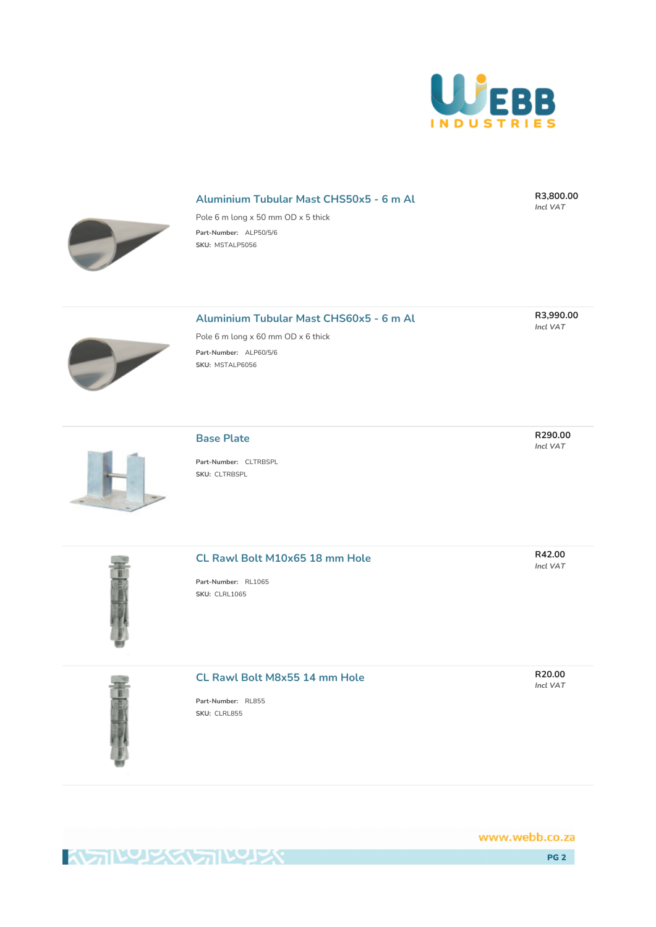

#### **Aluminium Tubular Mast CHS50x5 - 6 m Al**

**R3,800.00** *Incl VAT*

**R3,990.00** *Incl VAT*



Pole 6 m long x 50 mm OD x 5 thick **Part-Number:** ALP50/5/6 **SKU:** MSTALP5056

#### **Aluminium Tubular Mast CHS60x5 - 6 m Al**



**Part-Number:** ALP60/5/6 **SKU:** MSTALP6056

Pole 6 m long x 60 mm OD x 6 thick

**Base Plate Part-Number:** CLTRBSPL **SKU:** CLTRBSPL

#### **CL Rawl Bolt M10x65 18 mm Hole**

**Part-Number:** RL1065 **SKU:** CLRL1065



#### **CL Rawl Bolt M8x55 14 mm Hole**

**Part-Number:** RL855 **SKU:** CLRL855

www.webb.co.za

PG 2

**R290.00** *Incl VAT*

**R42.00** *Incl VAT*

**R20.00** *Incl VAT*

**KAN READERS**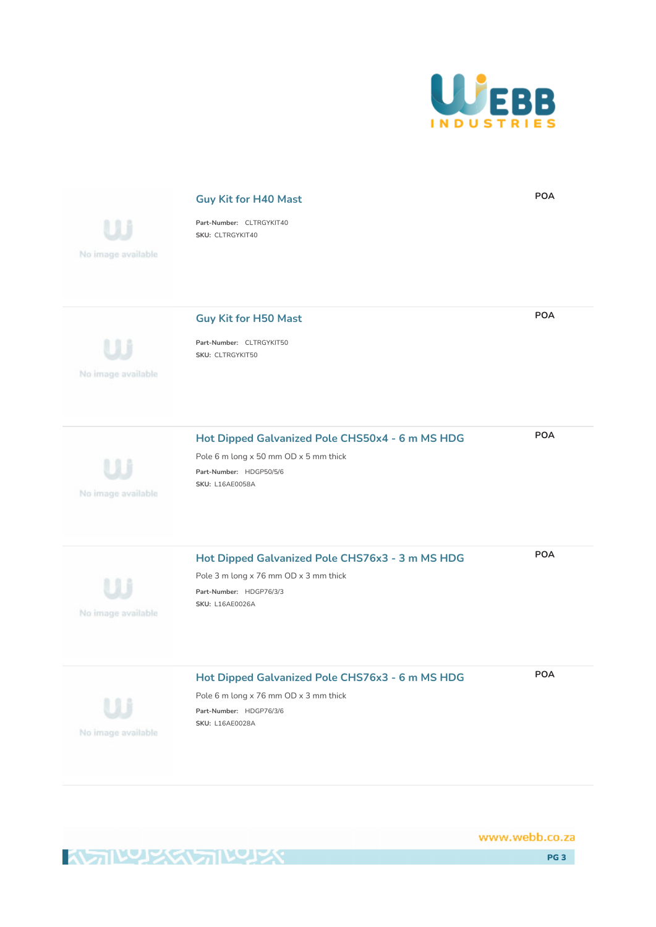

**POA**



Pole 6 m long x 76 mm OD x 3 mm thick **Part-Number:** HDGP76/3/6 **SKU:** L16AE0028A

**Guy Kit for H40 Mast**

**KAN WARKSTAN KAY** 

No image available

www.webb.co.za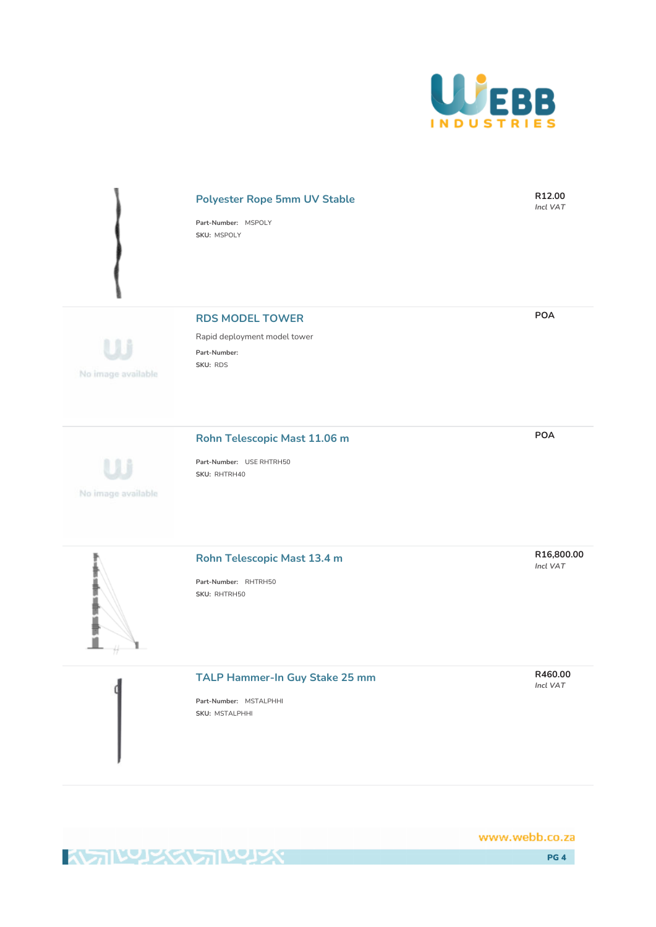

#### **Polyester Rope 5mm UV Stable**

**Part-Number:** MSPOLY **SKU:** MSPOLY

No image available

**RDS MODEL TOWER**

Rapid deployment model tower **Part-Number: SKU:** RDS

#### **Rohn Telescopic Mast 11.06 m**

No image available

de sites sites sultas sites si

'n

**Part-Number:** USE RHTRH50 **SKU:** RHTRH40

#### **Rohn Telescopic Mast 13.4 m**

**Part-Number:** RHTRH50 **SKU:** RHTRH50

#### **TALP Hammer-In Guy Stake 25 mm**

**Part-Number:** MSTALPHHI **SKU:** MSTALPHHI

www.webb.co.za

**KATIVALEXEMPTIVALEXY** 

**POA**

**R12.00** *Incl VAT*

**POA**

**R16,800.00** *Incl VAT*

**R460.00** *Incl VAT*

PG 4